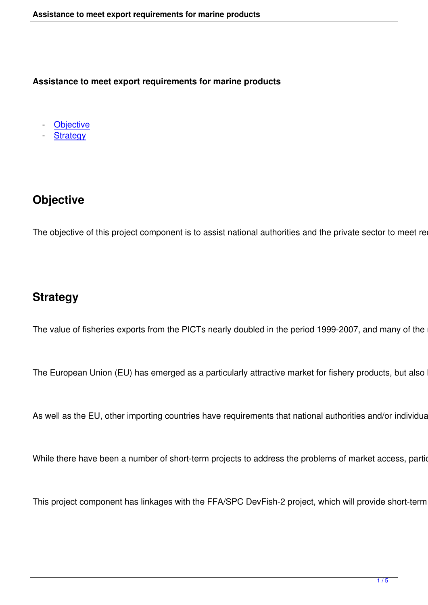**Assistance to meet export requirements for marine products**

**Objective** 

**Strategy** 

# **Objective**

The objective of this project component is to assist national authorities and the private sector to meet requir

## **Strategy**

The value of fisheries exports from the PICTs nearly doubled in the period 1999-2007, and many of the nev

The European Union (EU) has emerged as a particularly attractive market for fishery products, but also has

As well as the EU, other importing countries have requirements that national authorities and/or individual ex

While there have been a number of short-term projects to address the problems of market access, particula

This project component has linkages with the FFA/SPC DevFish-2 project, which will provide short-term inp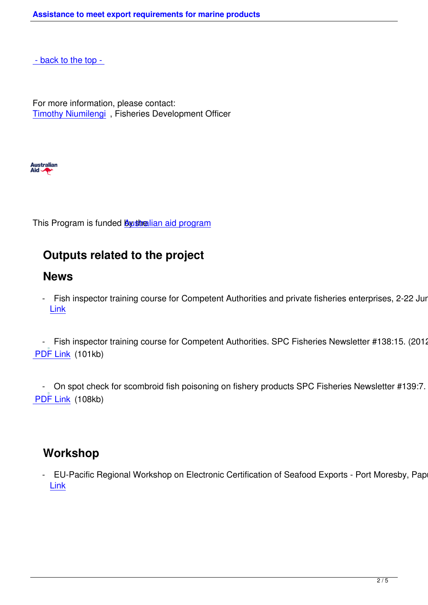[For more informatio](#top)n, please contact: Timothy Niumilengi , Fisheries Development Officer



This Program is funded **By stralian aid program** 

## **Outputs relate[d to the project](http://aid.dfat.gov.au/Pages/home.aspx)**

#### **News**

- Fish inspector training course for Competent Authorities and private fisheries enterprises, 2-22 June 2 Link

 - [Fis](http://www.spc.int/coastfish/index.php?option=com_content&view=article&id=431)h inspector training course for Competent Authorities. SPC Fisheries Newsletter #138:15. (2012) PDF Link (101kb)

- On spot check for scombroid fish poisoning on fishery products SPC Fisheries Newsletter #139:7. (20 PDF Link (108kb)

#### **Workshop**

EU-Pacific Regional Workshop on Electronic Certification of Seafood Exports - Port Moresby, Papua Link